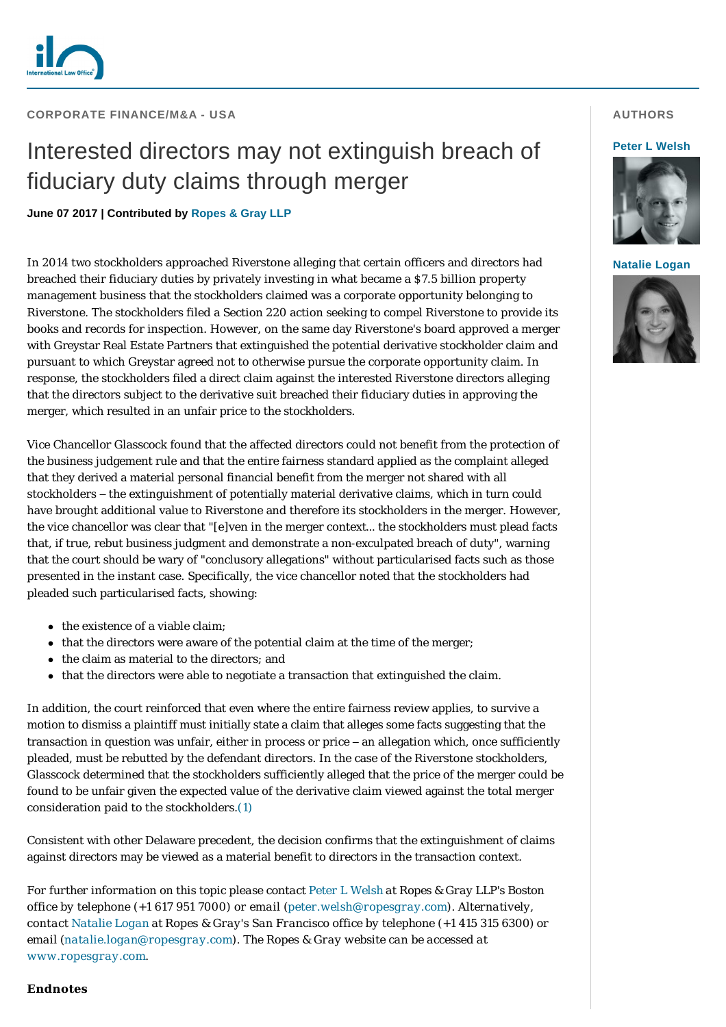

# Interested directors may not extinguish breach of fiduciary duty claims through merger

## **June 07 2017 | Contributed by [Ropes & Gray LLP](http://www.internationallawoffice.com/gesr.ashx?l=7V6331H)**

In 2014 two stockholders approached Riverstone alleging that certain officers and directors had breached their fiduciary duties by privately investing in what became a \$7.5 billion property management business that the stockholders claimed was a corporate opportunity belonging to Riverstone. The stockholders filed a Section 220 action seeking to compel Riverstone to provide its books and records for inspection. However, on the same day Riverstone's board approved a merger with Greystar Real Estate Partners that extinguished the potential derivative stockholder claim and pursuant to which Greystar agreed not to otherwise pursue the corporate opportunity claim. In response, the stockholders filed a direct claim against the interested Riverstone directors alleging that the directors subject to the derivative suit breached their fiduciary duties in approving the merger, which resulted in an unfair price to the stockholders.

Vice Chancellor Glasscock found that the affected directors could not benefit from the protection of the business judgement rule and that the entire fairness standard applied as the complaint alleged that they derived a material personal financial benefit from the merger not shared with all stockholders – the extinguishment of potentially material derivative claims, which in turn could have brought additional value to Riverstone and therefore its stockholders in the merger. However, the vice chancellor was clear that "[e]ven in the merger context… the stockholders must plead facts that, if true, rebut business judgment and demonstrate a non-exculpated breach of duty", warning that the court should be wary of "conclusory allegations" without particularised facts such as those presented in the instant case. Specifically, the vice chancellor noted that the stockholders had pleaded such particularised facts, showing:

- $\bullet$  the existence of a viable claim;
- that the directors were aware of the potential claim at the time of the merger;
- the claim as material to the directors; and
- that the directors were able to negotiate a transaction that extinguished the claim.

In addition, the court reinforced that even where the entire fairness review applies, to survive a motion to dismiss a plaintiff must initially state a claim that alleges some facts suggesting that the transaction in question was unfair, either in process or price – an allegation which, once sufficiently pleaded, must be rebutted by the defendant directors. In the case of the Riverstone stockholders, Glasscock determined that the stockholders sufficiently alleged that the price of the merger could be found to be unfair given the expected value of the derivative claim viewed against the total merger consideration paid to the stockholders.[\(1\)](#page-1-0)

Consistent with other Delaware precedent, the decision confirms that the extinguishment of claims against directors may be viewed as a material benefit to directors in the transaction context.

*For further information on this topic please contact [Peter L Welsh](http://www.internationallawoffice.com/gesr.ashx?l=7V6331P) at Ropes & Gray LLP's Boston office by telephone (+1 617 951 7000) or email ([peter.welsh@ropesgray.com](mailto:peter.walsh@ropesgray.com?subject=Article%20on%20ILO)). Alternatively, contact [Natalie Logan](http://www.internationallawoffice.com/gesr.ashx?l=7V6331V) at Ropes & Gray's San Francisco office by telephone (+1 415 315 6300) or email ([natalie.logan](mailto:natalie.logan@ropesgray.com)[@ropesgray.com](mailto:jason.freedman@ropesgray.com?subject=Article%20on%20ILO)). The Ropes & Gray website can be accessed at [www.ropesgray.com](http://www.internationallawoffice.com/gesr.ashx?l=7V63321).*

# **AUTHORS**

#### **[Peter L Welsh](http://www.internationallawoffice.com/gesr.ashx?l=7V6331P)**



**[Natalie Logan](http://www.internationallawoffice.com/gesr.ashx?l=7V6332A)**



### **Endnotes**